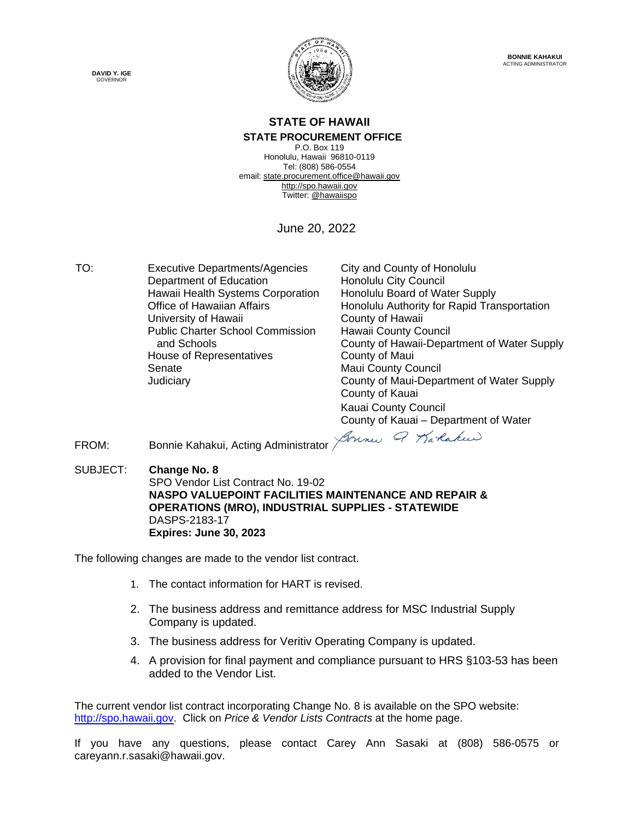



#### **STATE OF HAWAII STATE PROCUREMENT OFFICE**

P.O. Box 119 Honolulu, Hawaii 96810-0119 Tel: (808) 586-0554 email[: state.procurement.office@hawaii.gov](mailto:state.procurement.office@hawaii.gov) [http://spo.hawaii.gov](http://spo.hawaii.gov/) Twitter: [@hawaiispo](https://twitter.com/hawaiispo)

June 20, 2022

TO: Executive Departments/Agencies City and County of Honolulu Department of Education **Honolulu City Council** Hawaii Health Systems Corporation Honolulu Board of Water Supply University of Hawaii Public Charter School Commission and Schools House of Representatives **County of Maui** Senate Maui County Council

Office of Hawaiian Affairs<br>
University of Hawaii **Honolulu Authority for Rapid Transportation**<br>
County of Hawaii Hawaii County Council County of Hawaii-Department of Water Supply Judiciary County of Maui-Department of Water Supply County of Kauai Kauai County Council County of Kauai – Department of Water

Bonnes Q Baraken

FROM: Bonnie Kahakui, Acting Administrator

SUBJECT: **Change No. 8** SPO Vendor List Contract No. 19-02 **NASPO VALUEPOINT FACILITIES MAINTENANCE AND REPAIR & OPERATIONS (MRO), INDUSTRIAL SUPPLIES - STATEWIDE**  DASPS-2183-17 **Expires: June 30, 2023**

The following changes are made to the vendor list contract.

- 1. The contact information for HART is revised.
- 2. The business address and remittance address for MSC Industrial Supply Company is updated.
- 3. The business address for Veritiv Operating Company is updated.
- 4. A provision for final payment and compliance pursuant to HRS §103-53 has been added to the Vendor List.

The current vendor list contract incorporating Change No. 8 is available on the SPO website: [http://spo.hawaii.gov.](http://spo.hawaii.gov/) Click on *Price & Vendor Lists Contracts* at the home page.

If you have any questions, please contact Carey Ann Sasaki at (808) 586-0575 or careyann.r.sasaki@hawaii.gov.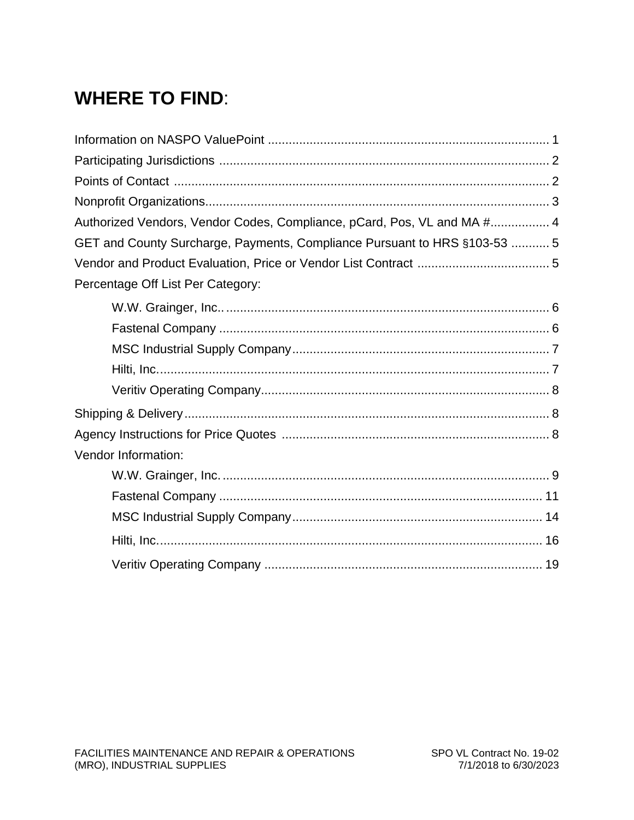## **WHERE TO FIND:**

| Authorized Vendors, Vendor Codes, Compliance, pCard, Pos, VL and MA # 4   |
|---------------------------------------------------------------------------|
| GET and County Surcharge, Payments, Compliance Pursuant to HRS §103-53  5 |
|                                                                           |
| Percentage Off List Per Category:                                         |
|                                                                           |
|                                                                           |
|                                                                           |
|                                                                           |
|                                                                           |
|                                                                           |
|                                                                           |
| Vendor Information:                                                       |
|                                                                           |
|                                                                           |
|                                                                           |
|                                                                           |
|                                                                           |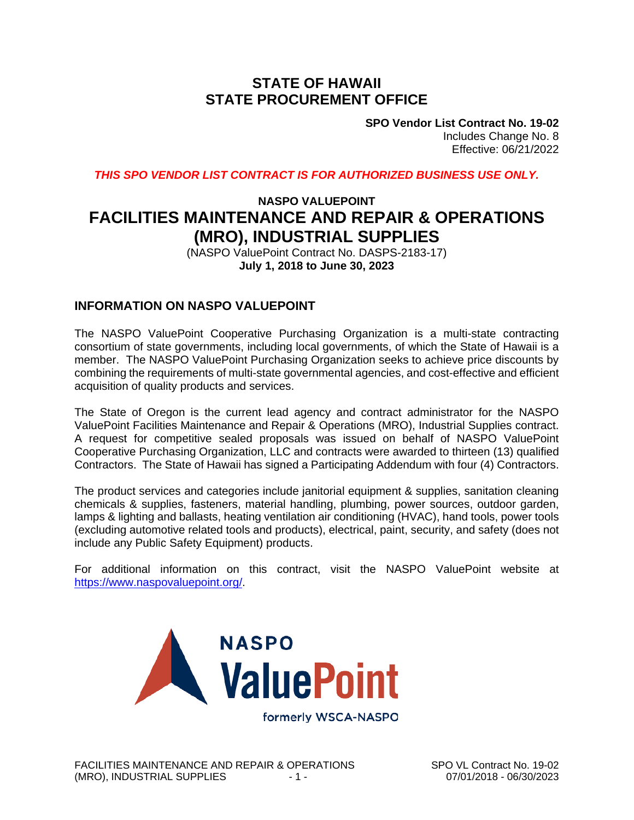### **STATE OF HAWAII STATE PROCUREMENT OFFICE**

**SPO Vendor List Contract No. 19-02** Includes Change No. 8 Effective: 06/21/2022

*THIS SPO VENDOR LIST CONTRACT IS FOR AUTHORIZED BUSINESS USE ONLY.*

### **NASPO VALUEPOINT FACILITIES MAINTENANCE AND REPAIR & OPERATIONS (MRO), INDUSTRIAL SUPPLIES**

(NASPO ValuePoint Contract No. DASPS-2183-17) **July 1, 2018 to June 30, 2023**

#### **INFORMATION ON NASPO VALUEPOINT**

The NASPO ValuePoint Cooperative Purchasing Organization is a multi-state contracting consortium of state governments, including local governments, of which the State of Hawaii is a member. The NASPO ValuePoint Purchasing Organization seeks to achieve price discounts by combining the requirements of multi-state governmental agencies, and cost-effective and efficient acquisition of quality products and services.

The State of Oregon is the current lead agency and contract administrator for the NASPO ValuePoint Facilities Maintenance and Repair & Operations (MRO), Industrial Supplies contract. A request for competitive sealed proposals was issued on behalf of NASPO ValuePoint Cooperative Purchasing Organization, LLC and contracts were awarded to thirteen (13) qualified Contractors. The State of Hawaii has signed a Participating Addendum with four (4) Contractors.

The product services and categories include janitorial equipment & supplies, sanitation cleaning chemicals & supplies, fasteners, material handling, plumbing, power sources, outdoor garden, lamps & lighting and ballasts, heating ventilation air conditioning (HVAC), hand tools, power tools (excluding automotive related tools and products), electrical, paint, security, and safety (does not include any Public Safety Equipment) products.

For additional information on this contract, visit the NASPO ValuePoint website at [https://www.naspovaluepoint.org/.](https://www.naspovaluepoint.org/)



FACILITIES MAINTENANCE AND REPAIR & OPERATIONS SPO VL Contract No. 19-02<br>(MRO). INDUSTRIAL SUPPLIES  $\begin{array}{r} .1 - .1 \end{array}$ (MRO), INDUSTRIAL SUPPLIES - 1 -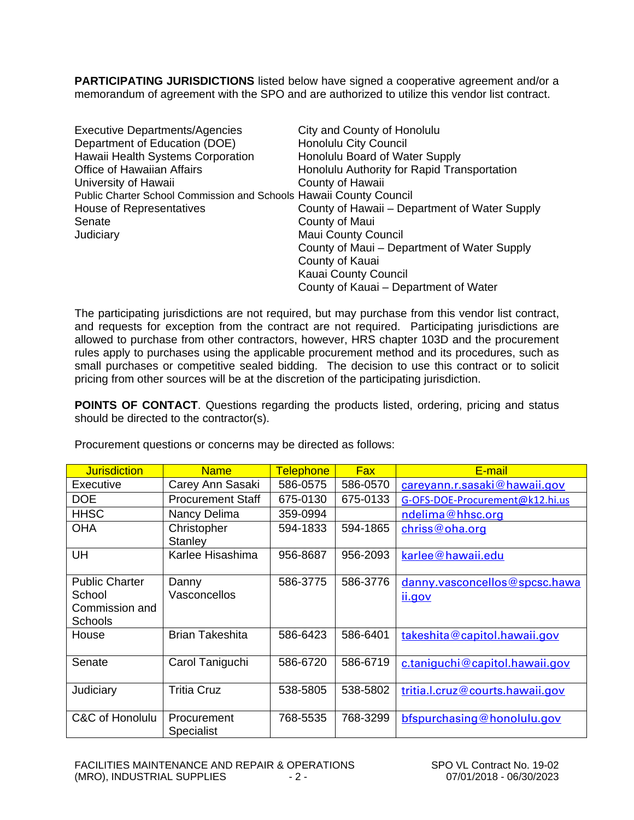**PARTICIPATING JURISDICTIONS** listed below have signed a cooperative agreement and/or a memorandum of agreement with the SPO and are authorized to utilize this vendor list contract.

| <b>Executive Departments/Agencies</b>                              | City and County of Honolulu                   |
|--------------------------------------------------------------------|-----------------------------------------------|
| Department of Education (DOE)                                      | <b>Honolulu City Council</b>                  |
| Hawaii Health Systems Corporation                                  | Honolulu Board of Water Supply                |
| <b>Office of Hawaiian Affairs</b>                                  | Honolulu Authority for Rapid Transportation   |
| University of Hawaii                                               | County of Hawaii                              |
| Public Charter School Commission and Schools Hawaii County Council |                                               |
| House of Representatives                                           | County of Hawaii – Department of Water Supply |
| Senate                                                             | County of Maui                                |
| Judiciary                                                          | <b>Maui County Council</b>                    |
|                                                                    | County of Maui - Department of Water Supply   |
|                                                                    | County of Kauai                               |
|                                                                    | Kauai County Council                          |
|                                                                    | County of Kauai - Department of Water         |

The participating jurisdictions are not required, but may purchase from this vendor list contract, and requests for exception from the contract are not required. Participating jurisdictions are allowed to purchase from other contractors, however, HRS chapter 103D and the procurement rules apply to purchases using the applicable procurement method and its procedures, such as small purchases or competitive sealed bidding. The decision to use this contract or to solicit pricing from other sources will be at the discretion of the participating jurisdiction.

**POINTS OF CONTACT**. Questions regarding the products listed, ordering, pricing and status should be directed to the contractor(s).

| <b>Jurisdiction</b>                                                 | <b>Name</b>                      | <b>Telephone</b> | <b>Fax</b> | E-mail                                  |
|---------------------------------------------------------------------|----------------------------------|------------------|------------|-----------------------------------------|
| Executive                                                           | Carey Ann Sasaki                 | 586-0575         | 586-0570   | careyann.r.sasaki@hawaii.gov            |
| <b>DOE</b>                                                          | <b>Procurement Staff</b>         | 675-0130         | 675-0133   | G-OFS-DOE-Procurement@k12.hi.us         |
| <b>HHSC</b>                                                         | Nancy Delima                     | 359-0994         |            | ndelima@hhsc.org                        |
| <b>OHA</b>                                                          | Christopher<br>Stanley           | 594-1833         | 594-1865   | chriss@oha.org                          |
| UH                                                                  | Karlee Hisashima                 | 956-8687         | 956-2093   | karlee@hawaii.edu                       |
| <b>Public Charter</b><br>School<br>Commission and<br><b>Schools</b> | Danny<br>Vasconcellos            | 586-3775         | 586-3776   | danny.vasconcellos@spcsc.hawa<br>ii.gov |
| House                                                               | <b>Brian Takeshita</b>           | 586-6423         | 586-6401   | takeshita@capitol.hawaii.gov            |
| Senate                                                              | Carol Taniguchi                  | 586-6720         | 586-6719   | c.taniquchi@capitol.hawaii.gov          |
| Judiciary                                                           | <b>Tritia Cruz</b>               | 538-5805         | 538-5802   | tritia.l.cruz@courts.hawaii.gov         |
| C&C of Honolulu                                                     | Procurement<br><b>Specialist</b> | 768-5535         | 768-3299   | bfspurchasing@honolulu.gov              |

Procurement questions or concerns may be directed as follows: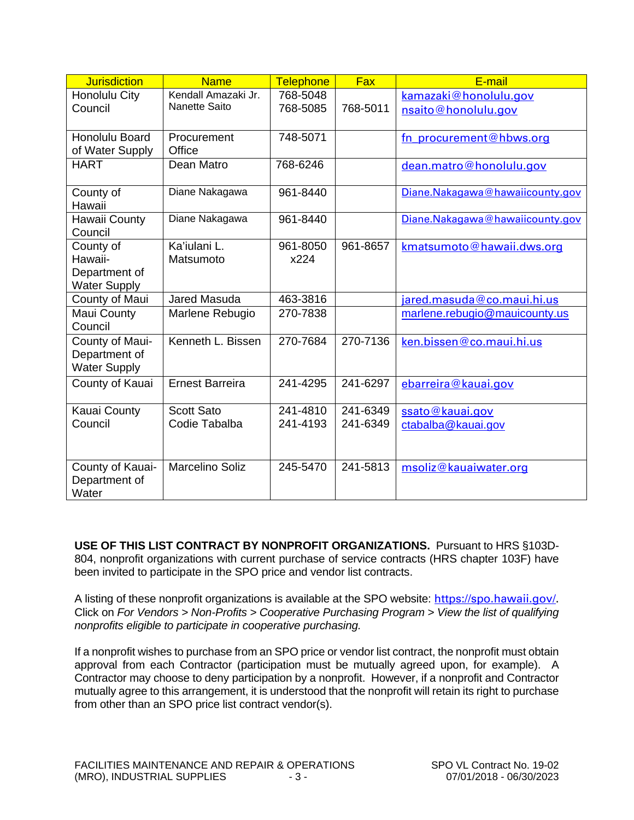| <b>Jurisdiction</b>    | <b>Name</b>            | <b>Telephone</b> | <b>Fax</b> | E-mail                          |
|------------------------|------------------------|------------------|------------|---------------------------------|
| Honolulu City          | Kendall Amazaki Jr.    | 768-5048         |            | kamazaki@honolulu.gov           |
| Council                | <b>Nanette Saito</b>   | 768-5085         | 768-5011   | nsaito@honolulu.gov             |
|                        |                        |                  |            |                                 |
| Honolulu Board         | Procurement            | 748-5071         |            | fn procurement@hbws.org         |
| of Water Supply        | Office                 |                  |            |                                 |
| <b>HART</b>            | Dean Matro             | 768-6246         |            | dean.matro@honolulu.gov         |
| County of              | Diane Nakagawa         | 961-8440         |            | Diane.Nakagawa@hawaiicounty.gov |
| Hawaii                 |                        |                  |            |                                 |
| Hawaii County          | Diane Nakagawa         | 961-8440         |            | Diane.Nakagawa@hawaiicounty.gov |
| Council                |                        |                  |            |                                 |
| County of              | Ka'iulani L.           | 961-8050         | 961-8657   | kmatsumoto@hawaii.dws.org       |
| Hawaii-                | Matsumoto              | x224             |            |                                 |
| Department of          |                        |                  |            |                                 |
| <b>Water Supply</b>    |                        |                  |            |                                 |
| County of Maui         | Jared Masuda           | 463-3816         |            | jared.masuda@co.maui.hi.us      |
| Maui County<br>Council | Marlene Rebugio        | 270-7838         |            | marlene.rebugio@mauicounty.us   |
| County of Maui-        | Kenneth L. Bissen      | 270-7684         | 270-7136   | ken.bissen@co.maui.hi.us        |
| Department of          |                        |                  |            |                                 |
| <b>Water Supply</b>    |                        |                  |            |                                 |
| County of Kauai        | <b>Ernest Barreira</b> | 241-4295         | 241-6297   | ebarreira@kauai.gov             |
|                        |                        |                  |            |                                 |
| Kauai County           | <b>Scott Sato</b>      | 241-4810         | 241-6349   | ssato@kauai.gov                 |
| Council                | Codie Tabalba          | 241-4193         | 241-6349   | ctabalba@kauai.gov              |
|                        |                        |                  |            |                                 |
| County of Kauai-       | <b>Marcelino Soliz</b> | 245-5470         | 241-5813   | msoliz@kauaiwater.org           |
| Department of          |                        |                  |            |                                 |
| Water                  |                        |                  |            |                                 |

**USE OF THIS LIST CONTRACT BY NONPROFIT ORGANIZATIONS.** Pursuant to HRS §103D-804, nonprofit organizations with current purchase of service contracts (HRS chapter 103F) have been invited to participate in the SPO price and vendor list contracts.

A listing of these nonprofit organizations is available at the SPO website:[https://spo.hawaii.gov/.](https://spo.hawaii.gov/) Click on *For Vendors > Non-Profits > Cooperative Purchasing Program > View the list of qualifying nonprofits eligible to participate in cooperative purchasing.*

If a nonprofit wishes to purchase from an SPO price or vendor list contract, the nonprofit must obtain approval from each Contractor (participation must be mutually agreed upon, for example). A Contractor may choose to deny participation by a nonprofit. However, if a nonprofit and Contractor mutually agree to this arrangement, it is understood that the nonprofit will retain its right to purchase from other than an SPO price list contract vendor(s).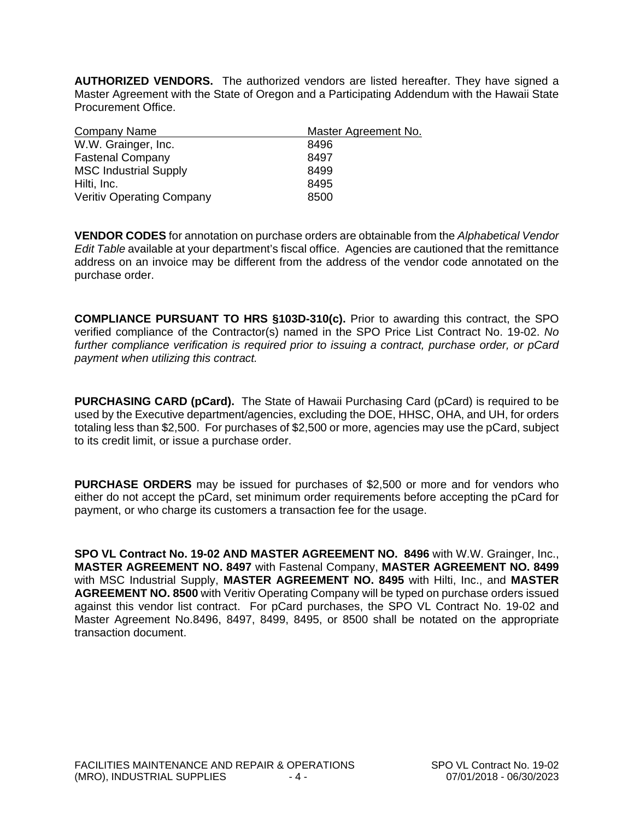**AUTHORIZED VENDORS.** The authorized vendors are listed hereafter. They have signed a Master Agreement with the State of Oregon and a Participating Addendum with the Hawaii State Procurement Office.

| Company Name                     | Master Agreement No. |
|----------------------------------|----------------------|
| W.W. Grainger, Inc.              | 8496                 |
| <b>Fastenal Company</b>          | 8497                 |
| <b>MSC Industrial Supply</b>     | 8499                 |
| Hilti, Inc.                      | 8495                 |
| <b>Veritiv Operating Company</b> | 8500                 |

**VENDOR CODES** for annotation on purchase orders are obtainable from the *Alphabetical Vendor Edit Table* available at your department's fiscal office. Agencies are cautioned that the remittance address on an invoice may be different from the address of the vendor code annotated on the purchase order.

**COMPLIANCE PURSUANT TO HRS §103D-310(c).** Prior to awarding this contract, the SPO verified compliance of the Contractor(s) named in the SPO Price List Contract No. 19-02. *No further compliance verification is required prior to issuing a contract, purchase order, or pCard payment when utilizing this contract.*

**PURCHASING CARD (pCard).** The State of Hawaii Purchasing Card (pCard) is required to be used by the Executive department/agencies, excluding the DOE, HHSC, OHA, and UH, for orders totaling less than \$2,500. For purchases of \$2,500 or more, agencies may use the pCard, subject to its credit limit, or issue a purchase order.

**PURCHASE ORDERS** may be issued for purchases of \$2,500 or more and for vendors who either do not accept the pCard, set minimum order requirements before accepting the pCard for payment, or who charge its customers a transaction fee for the usage.

**SPO VL Contract No. 19-02 AND MASTER AGREEMENT NO. 8496** with W.W. Grainger, Inc., **MASTER AGREEMENT NO. 8497** with Fastenal Company, **MASTER AGREEMENT NO. 8499** with MSC Industrial Supply, **MASTER AGREEMENT NO. 8495** with Hilti, Inc., and **MASTER AGREEMENT NO. 8500** with Veritiv Operating Company will be typed on purchase orders issued against this vendor list contract. For pCard purchases, the SPO VL Contract No. 19-02 and Master Agreement No.8496, 8497, 8499, 8495, or 8500 shall be notated on the appropriate transaction document.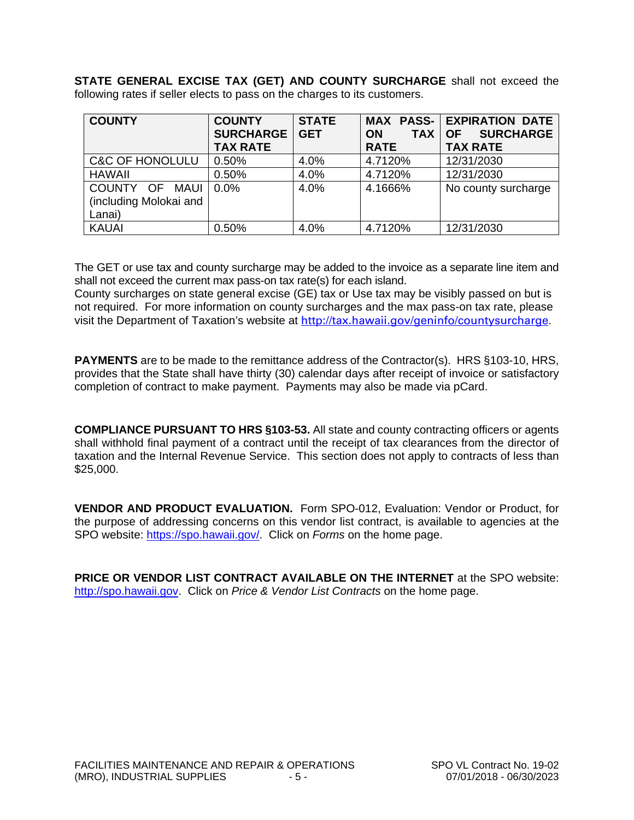**STATE GENERAL EXCISE TAX (GET) AND COUNTY SURCHARGE** shall not exceed the following rates if seller elects to pass on the charges to its customers.

| <b>COUNTY</b>                                      | <b>COUNTY</b><br><b>SURCHARGE</b><br><b>TAX RATE</b> | <b>STATE</b><br><b>GET</b> | <b>TAX</b><br><b>ON</b><br><b>RATE</b> | <b>MAX PASS- EXPIRATION DATE</b><br><b>SURCHARGE</b><br><b>OF</b><br><b>TAX RATE</b> |
|----------------------------------------------------|------------------------------------------------------|----------------------------|----------------------------------------|--------------------------------------------------------------------------------------|
| <b>C&amp;C OF HONOLULU</b>                         | 0.50%                                                | 4.0%                       | 4.7120%                                | 12/31/2030                                                                           |
| <b>HAWAII</b>                                      | 0.50%                                                | 4.0%                       | 4.7120%                                | 12/31/2030                                                                           |
| COUNTY OF MAUI<br>(including Molokai and<br>Lanai) | $0.0\%$                                              | 4.0%                       | 4.1666%                                | No county surcharge                                                                  |
| <b>KAUAI</b>                                       | 0.50%                                                | 4.0%                       | 4.7120%                                | 12/31/2030                                                                           |

The GET or use tax and county surcharge may be added to the invoice as a separate line item and shall not exceed the current max pass-on tax rate(s) for each island.

County surcharges on state general excise (GE) tax or Use tax may be visibly passed on but is not required. For more information on county surcharges and the max pass-on tax rate, please visit the Department of Taxation's website at [http://tax.hawaii.gov/geninfo/countysurcharge](https://tax.hawaii.gov/geninfo/countysurcharge/).

**PAYMENTS** are to be made to the remittance address of the Contractor(s). HRS §103-10, HRS, provides that the State shall have thirty (30) calendar days after receipt of invoice or satisfactory completion of contract to make payment. Payments may also be made via pCard.

**COMPLIANCE PURSUANT TO HRS §103-53.** All state and county contracting officers or agents shall withhold final payment of a contract until the receipt of tax clearances from the director of taxation and the Internal Revenue Service. This section does not apply to contracts of less than \$25,000.

**VENDOR AND PRODUCT EVALUATION.** Form SPO-012, Evaluation: Vendor or Product, for the purpose of addressing concerns on this vendor list contract, is available to agencies at the SPO website: [https://spo.hawaii.gov/.](https://spo.hawaii.gov/) Click on *Forms* on the home page.

**PRICE OR VENDOR LIST CONTRACT AVAILABLE ON THE INTERNET** at the SPO website: [http://spo.hawaii.gov.](http://spo.hawaii.gov/) Click on *Price & Vendor List Contracts* on the home page.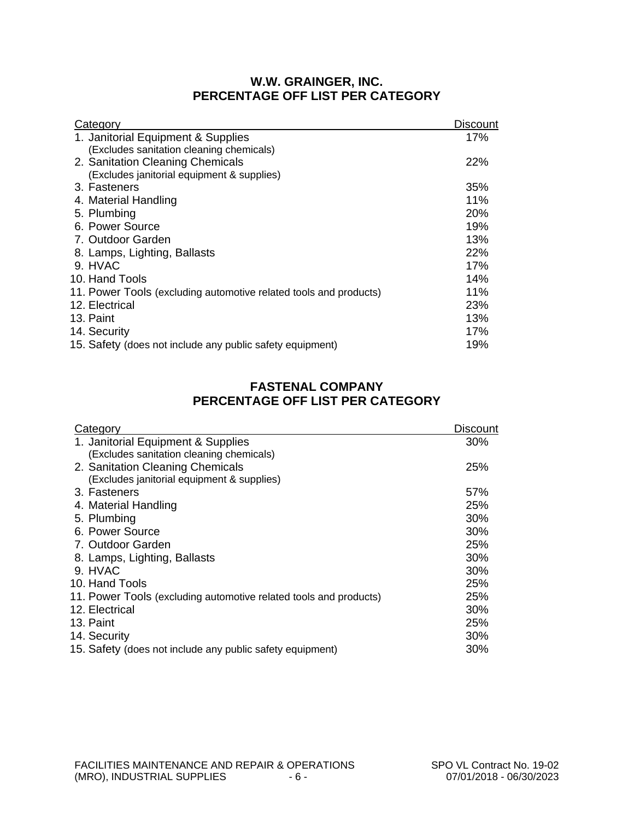#### **W.W. GRAINGER, INC. PERCENTAGE OFF LIST PER CATEGORY**

| Category                                                          | <b>Discount</b> |
|-------------------------------------------------------------------|-----------------|
| 1. Janitorial Equipment & Supplies                                | 17%             |
| (Excludes sanitation cleaning chemicals)                          |                 |
| 2. Sanitation Cleaning Chemicals                                  | 22%             |
| (Excludes janitorial equipment & supplies)                        |                 |
| 3. Fasteners                                                      | 35%             |
| 4. Material Handling                                              | 11%             |
| 5. Plumbing                                                       | 20%             |
| 6. Power Source                                                   | 19%             |
| 7. Outdoor Garden                                                 | 13%             |
| 8. Lamps, Lighting, Ballasts                                      | 22%             |
| 9. HVAC                                                           | 17%             |
| 10. Hand Tools                                                    | 14%             |
| 11. Power Tools (excluding automotive related tools and products) | 11%             |
| 12. Electrical                                                    | 23%             |
| 13. Paint                                                         | 13%             |
| 14. Security                                                      | 17%             |
| 15. Safety (does not include any public safety equipment)         | 19%             |
|                                                                   |                 |

#### **FASTENAL COMPANY PERCENTAGE OFF LIST PER CATEGORY**

| Category                                                          | <b>Discount</b> |
|-------------------------------------------------------------------|-----------------|
| 1. Janitorial Equipment & Supplies                                | 30%             |
| (Excludes sanitation cleaning chemicals)                          |                 |
| 2. Sanitation Cleaning Chemicals                                  | 25%             |
| (Excludes janitorial equipment & supplies)                        |                 |
| 3. Fasteners                                                      | 57%             |
| 4. Material Handling                                              | 25%             |
| 5. Plumbing                                                       | 30%             |
| 6. Power Source                                                   | 30%             |
| 7. Outdoor Garden                                                 | 25%             |
| 8. Lamps, Lighting, Ballasts                                      | 30%             |
| 9. HVAC                                                           | 30%             |
| 10. Hand Tools                                                    | 25%             |
| 11. Power Tools (excluding automotive related tools and products) | 25%             |
| 12. Electrical                                                    | 30%             |
| 13. Paint                                                         | 25%             |
| 14. Security                                                      | 30%             |
| 15. Safety (does not include any public safety equipment)         | 30%             |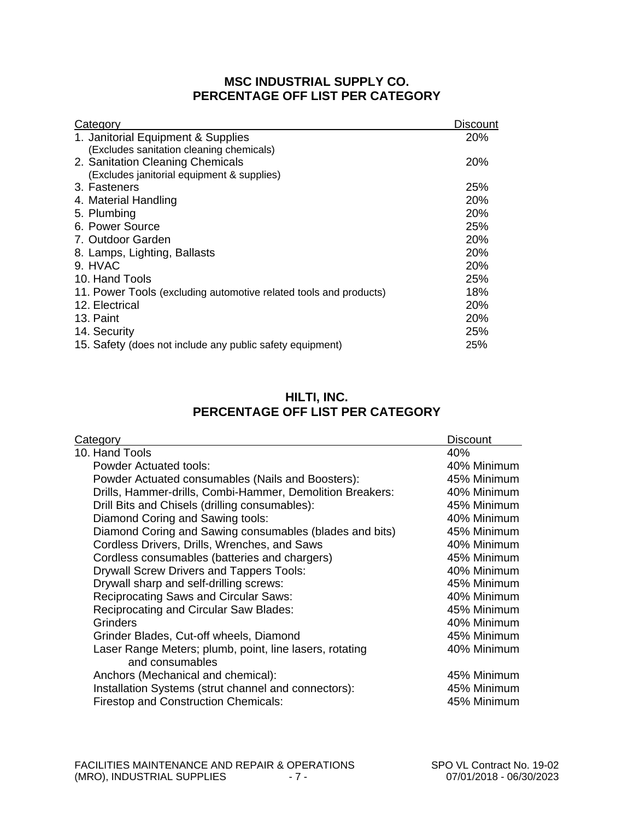### **MSC INDUSTRIAL SUPPLY CO. PERCENTAGE OFF LIST PER CATEGORY**

| Category                                                          | <b>Discount</b> |
|-------------------------------------------------------------------|-----------------|
| 1. Janitorial Equipment & Supplies                                | <b>20%</b>      |
| (Excludes sanitation cleaning chemicals)                          |                 |
| 2. Sanitation Cleaning Chemicals                                  | <b>20%</b>      |
| (Excludes janitorial equipment & supplies)                        |                 |
| 3. Fasteners                                                      | <b>25%</b>      |
| 4. Material Handling                                              | 20%             |
| 5. Plumbing                                                       | 20%             |
| 6. Power Source                                                   | 25%             |
| 7. Outdoor Garden                                                 | <b>20%</b>      |
| 8. Lamps, Lighting, Ballasts                                      | 20%             |
| 9. HVAC                                                           | 20%             |
| 10. Hand Tools                                                    | 25%             |
| 11. Power Tools (excluding automotive related tools and products) | 18%             |
| 12. Electrical                                                    | 20%             |
| 13. Paint                                                         | 20%             |
| 14. Security                                                      | 25%             |
| 15. Safety (does not include any public safety equipment)         | 25%             |

### **HILTI, INC. PERCENTAGE OFF LIST PER CATEGORY**

| Category                                                  | <b>Discount</b> |
|-----------------------------------------------------------|-----------------|
| 10. Hand Tools                                            | 40%             |
| Powder Actuated tools:                                    | 40% Minimum     |
| Powder Actuated consumables (Nails and Boosters):         | 45% Minimum     |
| Drills, Hammer-drills, Combi-Hammer, Demolition Breakers: | 40% Minimum     |
| Drill Bits and Chisels (drilling consumables):            | 45% Minimum     |
| Diamond Coring and Sawing tools:                          | 40% Minimum     |
| Diamond Coring and Sawing consumables (blades and bits)   | 45% Minimum     |
| Cordless Drivers, Drills, Wrenches, and Saws              | 40% Minimum     |
| Cordless consumables (batteries and chargers)             | 45% Minimum     |
| <b>Drywall Screw Drivers and Tappers Tools:</b>           | 40% Minimum     |
| Drywall sharp and self-drilling screws:                   | 45% Minimum     |
| <b>Reciprocating Saws and Circular Saws:</b>              | 40% Minimum     |
| <b>Reciprocating and Circular Saw Blades:</b>             | 45% Minimum     |
| <b>Grinders</b>                                           | 40% Minimum     |
| Grinder Blades, Cut-off wheels, Diamond                   | 45% Minimum     |
| Laser Range Meters; plumb, point, line lasers, rotating   | 40% Minimum     |
| and consumables                                           |                 |
| Anchors (Mechanical and chemical):                        | 45% Minimum     |
| Installation Systems (strut channel and connectors):      | 45% Minimum     |
| <b>Firestop and Construction Chemicals:</b>               | 45% Minimum     |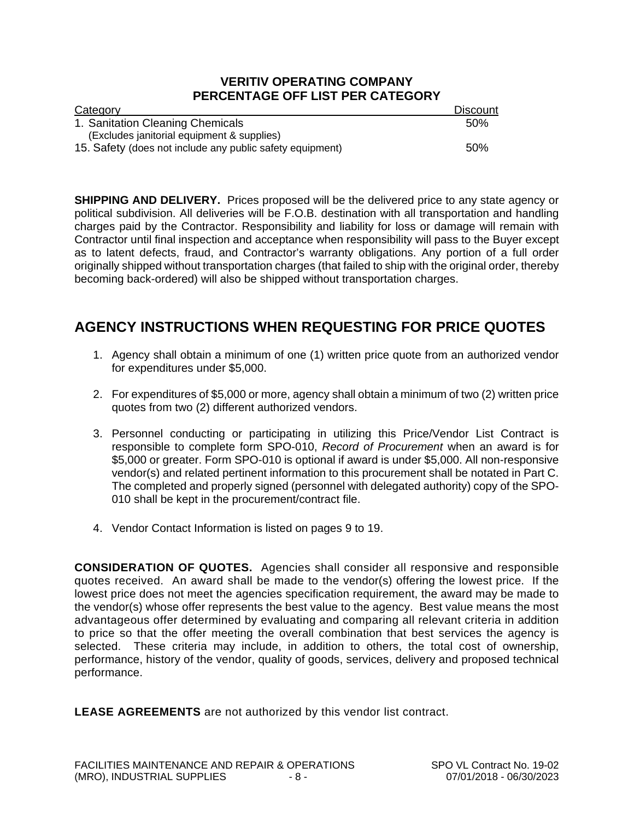#### **VERITIV OPERATING COMPANY PERCENTAGE OFF LIST PER CATEGORY**

| Category                                                  | <b>Discount</b> |
|-----------------------------------------------------------|-----------------|
| 1. Sanitation Cleaning Chemicals                          | 50%             |
| (Excludes janitorial equipment & supplies)                |                 |
| 15. Safety (does not include any public safety equipment) | .50%            |

**SHIPPING AND DELIVERY.** Prices proposed will be the delivered price to any state agency or political subdivision. All deliveries will be F.O.B. destination with all transportation and handling charges paid by the Contractor. Responsibility and liability for loss or damage will remain with Contractor until final inspection and acceptance when responsibility will pass to the Buyer except as to latent defects, fraud, and Contractor's warranty obligations. Any portion of a full order originally shipped without transportation charges (that failed to ship with the original order, thereby becoming back-ordered) will also be shipped without transportation charges.

### **AGENCY INSTRUCTIONS WHEN REQUESTING FOR PRICE QUOTES**

- 1. Agency shall obtain a minimum of one (1) written price quote from an authorized vendor for expenditures under \$5,000.
- 2. For expenditures of \$5,000 or more, agency shall obtain a minimum of two (2) written price quotes from two (2) different authorized vendors.
- 3. Personnel conducting or participating in utilizing this Price/Vendor List Contract is responsible to complete form SPO-010, *Record of Procurement* when an award is for \$5,000 or greater. Form SPO-010 is optional if award is under \$5,000. All non-responsive vendor(s) and related pertinent information to this procurement shall be notated in Part C. The completed and properly signed (personnel with delegated authority) copy of the SPO-010 shall be kept in the procurement/contract file.
- 4. Vendor Contact Information is listed on pages 9 to 19.

**CONSIDERATION OF QUOTES.** Agencies shall consider all responsive and responsible quotes received. An award shall be made to the vendor(s) offering the lowest price. If the lowest price does not meet the agencies specification requirement, the award may be made to the vendor(s) whose offer represents the best value to the agency. Best value means the most advantageous offer determined by evaluating and comparing all relevant criteria in addition to price so that the offer meeting the overall combination that best services the agency is selected. These criteria may include, in addition to others, the total cost of ownership, performance, history of the vendor, quality of goods, services, delivery and proposed technical performance.

**LEASE AGREEMENTS** are not authorized by this vendor list contract.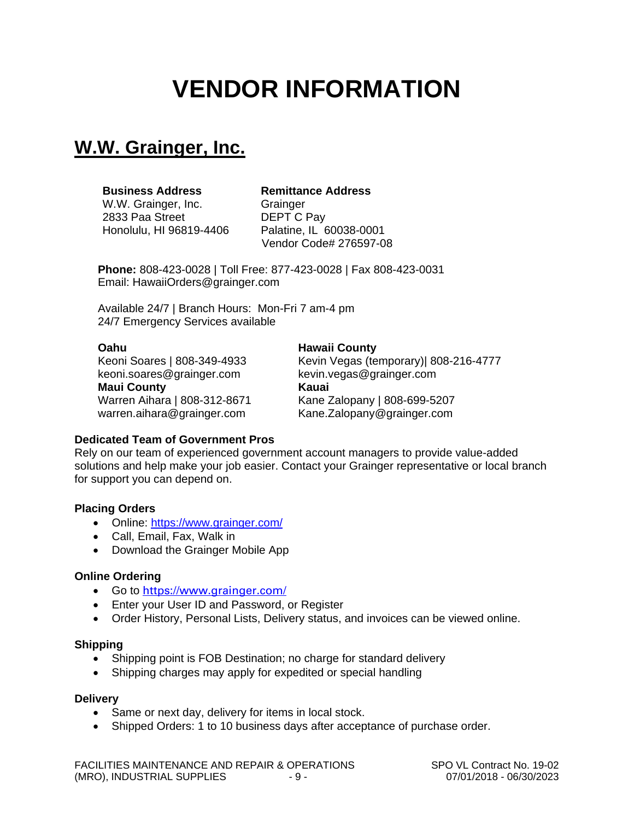# **VENDOR INFORMATION**

## **W.W. Grainger, Inc.**

#### **Business Address Remittance Address**

W.W. Grainger, Inc. **Grainger** 2833 Paa Street **DEPT C Pay**<br>Honolulu. HI 96819-4406 Palatine. IL 60038-0001 Honolulu, HI 96819-4406

Vendor Code# 276597-08

**Phone:** 808-423-0028 | Toll Free: 877-423-0028 | Fax 808-423-0031 Email: HawaiiOrders@grainger.com

Available 24/7 | Branch Hours: Mon-Fri 7 am-4 pm 24/7 Emergency Services available

**Oahu Hawaii County** keoni.soares@grainger.com kevin.vegas@grainger.com **Maui County Kauai** warren.aihara@grainger.com Kane.Zalopany@grainger.com

Kevin Vegas (temporary)| 808-216-4777

Warren Aihara | 808-312-8671 Kane Zalopany | 808-699-5207

#### **Dedicated Team of Government Pros**

Rely on our team of experienced government account managers to provide value-added solutions and help make your job easier. Contact your Grainger representative or local branch for support you can depend on.

#### **Placing Orders**

- Online: https://www.grainger.com/
- Call, Email, Fax, Walk in
- Download the Grainger Mobile App

#### **Online Ordering**

- Go to <https://www.grainger.com/>
- Enter your User ID and Password, or Register
- Order History, Personal Lists, Delivery status, and invoices can be viewed online.

#### **Shipping**

- Shipping point is FOB Destination; no charge for standard delivery
- Shipping charges may apply for expedited or special handling

#### **Delivery**

- Same or next day, delivery for items in local stock.
- Shipped Orders: 1 to 10 business days after acceptance of purchase order.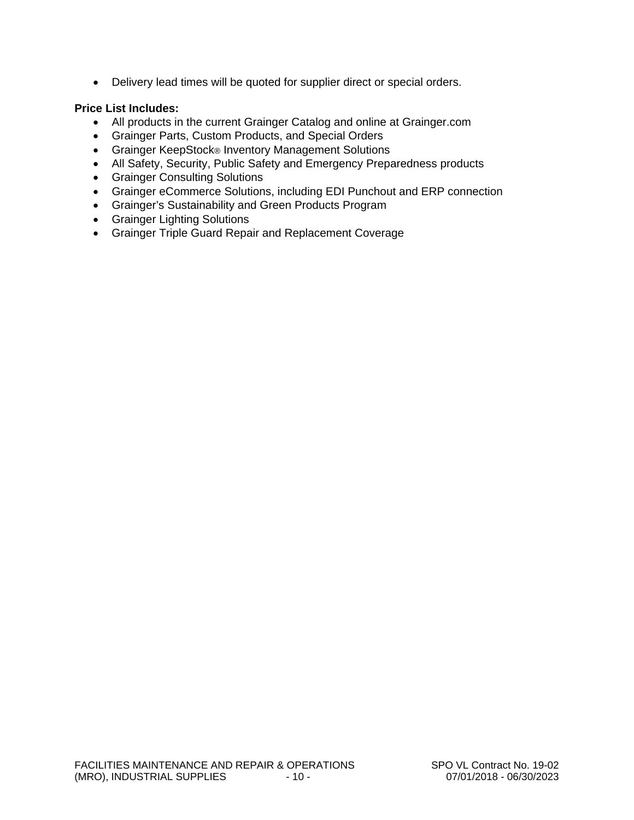• Delivery lead times will be quoted for supplier direct or special orders.

#### **Price List Includes:**

- All products in the current Grainger Catalog and online at Grainger.com
- Grainger Parts, Custom Products, and Special Orders
- Grainger KeepStock® Inventory Management Solutions
- All Safety, Security, Public Safety and Emergency Preparedness products
- Grainger Consulting Solutions
- Grainger eCommerce Solutions, including EDI Punchout and ERP connection
- Grainger's Sustainability and Green Products Program
- Grainger Lighting Solutions
- Grainger Triple Guard Repair and Replacement Coverage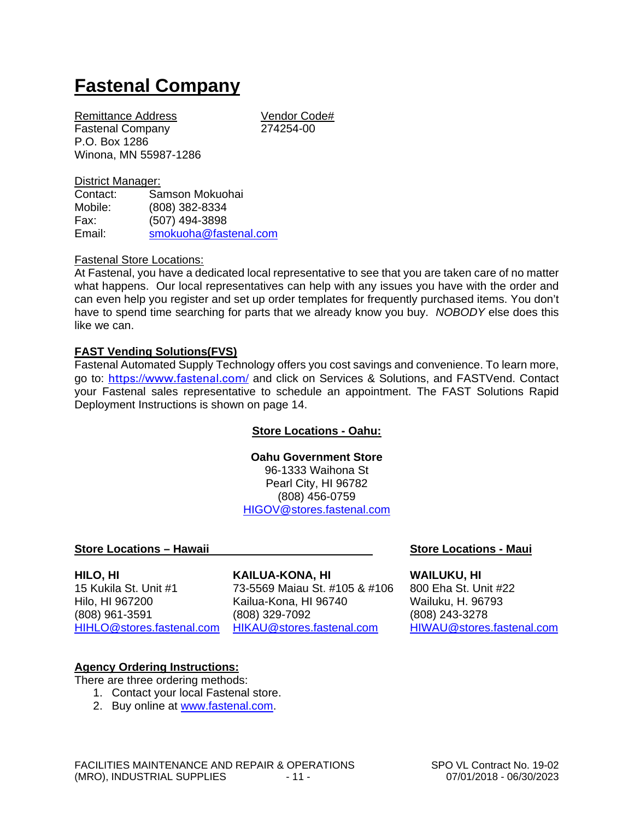## **Fastenal Company**

Remittance Address Vendor Code# Fastenal Company 274254-00 P.O. Box 1286 Winona, MN 55987-1286

## District Manager:<br>Contact: Sa

Samson Mokuohai Mobile: (808) 382-8334 Fax: (507) 494-3898 Email: [smokuoha@fastenal.com](mailto:smokuoha@fastenal.com)

#### Fastenal Store Locations:

At Fastenal, you have a dedicated local representative to see that you are taken care of no matter what happens. Our local representatives can help with any issues you have with the order and can even help you register and set up order templates for frequently purchased items. You don't have to spend time searching for parts that we already know you buy. *NOBODY* else does this like we can.

#### **FAST Vending Solutions(FVS)**

Fastenal Automated Supply Technology offers you cost savings and convenience. To learn more, go to: <https://www.fastenal.com/> and click on Services & Solutions, and FASTVend. Contact your Fastenal sales representative to schedule an appointment. The FAST Solutions Rapid Deployment Instructions is shown on page 14.

#### **Store Locations - Oahu:**

### **Oahu Government Store**

96-1333 Waihona St Pearl City, HI 96782 (808) 456-0759 [HIGOV@stores.fastenal.com](mailto:HIGOV@stores.fastenal.com)

#### **Store Locations – Hawaii Store Locations - Maui**

[HIHLO@stores.fastenal.com](mailto:HIHLO@stores.fastenal.com)

#### **HILO, HI KAILUA-KONA, HI WAILUKU, HI**

15 Kukila St. Unit #1 73-5569 Maiau St. #105 & #106 800 Eha St. Unit #22 Hilo, HI 967200 Kailua-Kona, HI 96740 Wailuku, H. 96793 (808) 329-7092<br>
HIKAU@stores.fastenal.com HIWAU@stores.fastenal.com

#### **Agency Ordering Instructions:**

There are three ordering methods:

- 1. Contact your local Fastenal store.
- 2. Buy online at [www.fastenal.com.](http://www.fastenal.com/)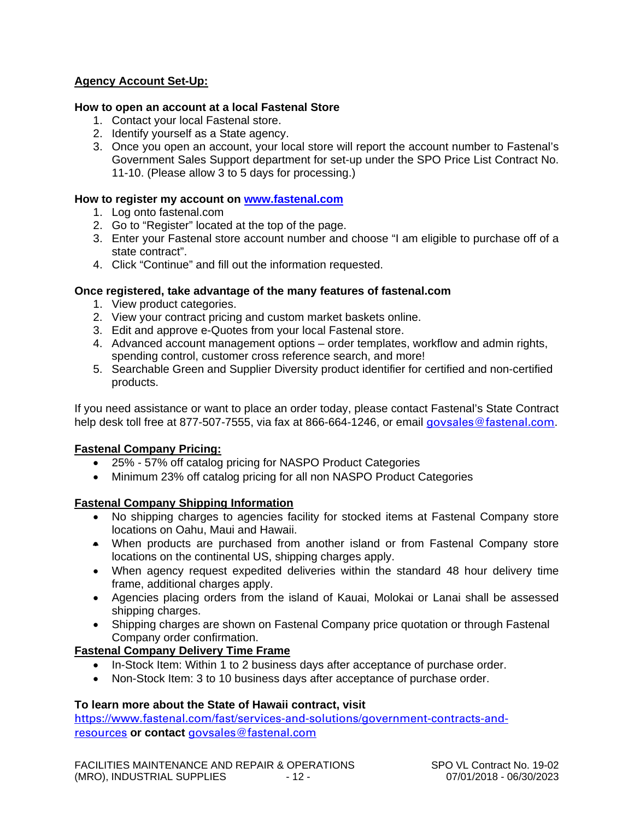#### **Agency Account Set-Up:**

#### **How to open an account at a local Fastenal Store**

- 1. Contact your local Fastenal store.
- 2. Identify yourself as a State agency.
- 3. Once you open an account, your local store will report the account number to Fastenal's Government Sales Support department for set-up under the SPO Price List Contract No. 11-10. (Please allow 3 to 5 days for processing.)

#### **How to register my account on [www.fastenal.com](https://www.fastenal.com/)**

- 1. Log onto fastenal.com
- 2. Go to "Register" located at the top of the page.
- 3. Enter your Fastenal store account number and choose "I am eligible to purchase off of a state contract".
- 4. Click "Continue" and fill out the information requested.

#### **Once registered, take advantage of the many features of fastenal.com**

- 1. View product categories.
- 2. View your contract pricing and custom market baskets online.
- 3. Edit and approve e-Quotes from your local Fastenal store.
- 4. Advanced account management options order templates, workflow and admin rights, spending control, customer cross reference search, and more!
- 5. Searchable Green and Supplier Diversity product identifier for certified and non-certified products.

If you need assistance or want to place an order today, please contact Fastenal's State Contract help desk toll free at 877-507-7555, via fax at 866-664-1246, or email [govsales@fastenal.com](mailto:govsales@fastenal.com).

#### **Fastenal Company Pricing:**

- 25% 57% off catalog pricing for NASPO Product Categories
- Minimum 23% off catalog pricing for all non NASPO Product Categories

#### **Fastenal Company Shipping Information**

- No shipping charges to agencies facility for stocked items at Fastenal Company store locations on Oahu, Maui and Hawaii.
- When products are purchased from another island or from Fastenal Company store locations on the continental US, shipping charges apply.
- When agency request expedited deliveries within the standard 48 hour delivery time frame, additional charges apply.
- Agencies placing orders from the island of Kauai, Molokai or Lanai shall be assessed shipping charges.
- Shipping charges are shown on Fastenal Company price quotation or through Fastenal Company order confirmation.

#### **Fastenal Company Delivery Time Frame**

- In-Stock Item: Within 1 to 2 business days after acceptance of purchase order.
- Non-Stock Item: 3 to 10 business days after acceptance of purchase order.

#### **To learn more about the State of Hawaii contract, visit**

[https://www.fastenal.com/fast/services-and-solutions/government-contracts-and](https://www.fastenal.com/fast/services-and-solutions/government-contracts-and-resources)[resources](https://www.fastenal.com/fast/services-and-solutions/government-contracts-and-resources) **or contact** [govsales@fastenal.com](mailto:govsales@fastenal.com)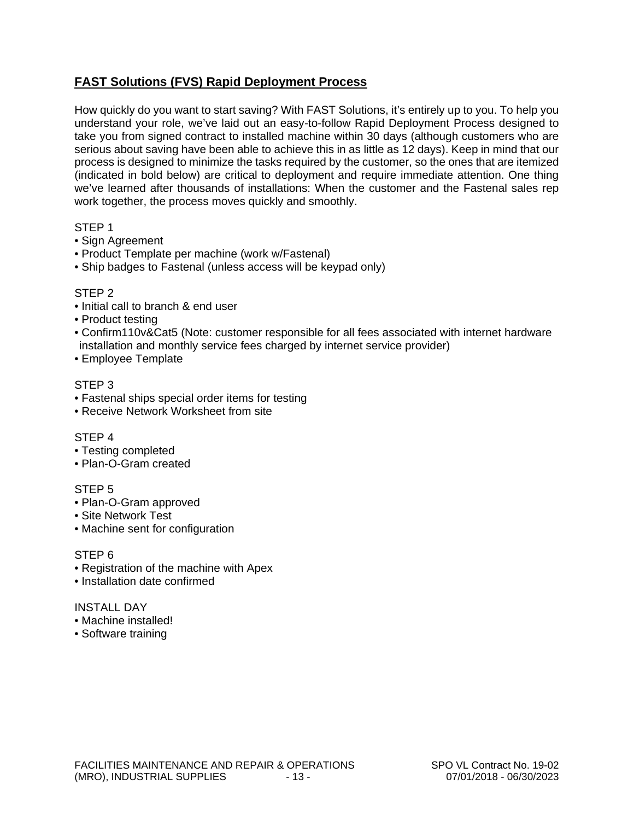### **FAST Solutions (FVS) Rapid Deployment Process**

How quickly do you want to start saving? With FAST Solutions, it's entirely up to you. To help you understand your role, we've laid out an easy-to-follow Rapid Deployment Process designed to take you from signed contract to installed machine within 30 days (although customers who are serious about saving have been able to achieve this in as little as 12 days). Keep in mind that our process is designed to minimize the tasks required by the customer, so the ones that are itemized (indicated in bold below) are critical to deployment and require immediate attention. One thing we've learned after thousands of installations: When the customer and the Fastenal sales rep work together, the process moves quickly and smoothly.

#### STEP 1

- Sign Agreement
- Product Template per machine (work w/Fastenal)
- Ship badges to Fastenal (unless access will be keypad only)

#### STEP 2

- Initial call to branch & end user
- Product testing
- Confirm110v&Cat5 (Note: customer responsible for all fees associated with internet hardware installation and monthly service fees charged by internet service provider)
- Employee Template

#### STEP 3

- Fastenal ships special order items for testing
- Receive Network Worksheet from site

#### STEP 4

- Testing completed
- Plan-O-Gram created

#### STEP 5

- Plan-O-Gram approved
- Site Network Test
- Machine sent for configuration

#### STEP 6

- Registration of the machine with Apex
- Installation date confirmed

#### INSTALL DAY

- Machine installed!
- Software training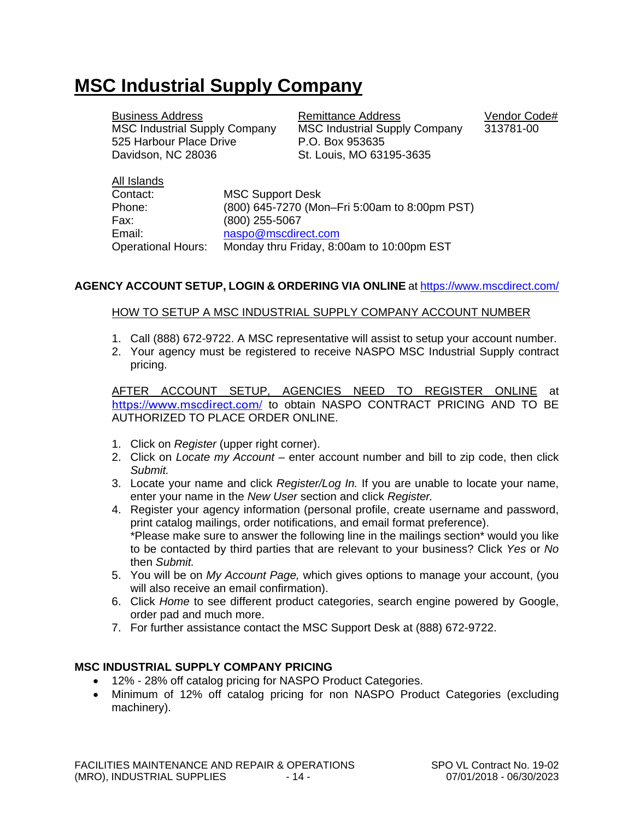## **MSC Industrial Supply Company**

| <b>Business Address</b><br><b>MSC Industrial Supply Company</b> | Remittance Address<br><b>MSC Industrial Supply Company</b> | Vendor Code#<br>313781-00 |
|-----------------------------------------------------------------|------------------------------------------------------------|---------------------------|
| 525 Harbour Place Drive                                         | P.O. Box 953635                                            |                           |
| Davidson, NC 28036                                              | St. Louis, MO 63195-3635                                   |                           |

| All Islands               |                                               |
|---------------------------|-----------------------------------------------|
| Contact:                  | <b>MSC Support Desk</b>                       |
| Phone:                    | (800) 645-7270 (Mon-Fri 5:00am to 8:00pm PST) |
| Fax:                      | (800) 255-5067                                |
| Email:                    | naspo@mscdirect.com                           |
| <b>Operational Hours:</b> | Monday thru Friday, 8:00am to 10:00pm EST     |

#### **AGENCY ACCOUNT SETUP, LOGIN & ORDERING VIA ONLINE** at<https://www.mscdirect.com/>

#### HOW TO SETUP A MSC INDUSTRIAL SUPPLY COMPANY ACCOUNT NUMBER

- 1. Call (888) 672-9722. A MSC representative will assist to setup your account number.
- 2. Your agency must be registered to receive NASPO MSC Industrial Supply contract pricing.

AFTER ACCOUNT SETUP, AGENCIES NEED TO REGISTER ONLINE at <https://www.mscdirect.com/> to obtain NASPO CONTRACT PRICING AND TO BE AUTHORIZED TO PLACE ORDER ONLINE.

- 1. Click on *Register* (upper right corner).
- 2. Click on *Locate my Account* enter account number and bill to zip code, then click *Submit.*
- 3. Locate your name and click *Register/Log In.* If you are unable to locate your name, enter your name in the *New User* section and click *Register.*
- 4. Register your agency information (personal profile, create username and password, print catalog mailings, order notifications, and email format preference). \*Please make sure to answer the following line in the mailings section\* would you like to be contacted by third parties that are relevant to your business? Click *Yes* or *No*  then *Submit.*
- 5. You will be on *My Account Page,* which gives options to manage your account, (you will also receive an email confirmation).
- 6. Click *Home* to see different product categories, search engine powered by Google, order pad and much more.
- 7. For further assistance contact the MSC Support Desk at (888) 672-9722.

#### **MSC INDUSTRIAL SUPPLY COMPANY PRICING**

- 12% 28% off catalog pricing for NASPO Product Categories.
- Minimum of 12% off catalog pricing for non NASPO Product Categories (excluding machinery).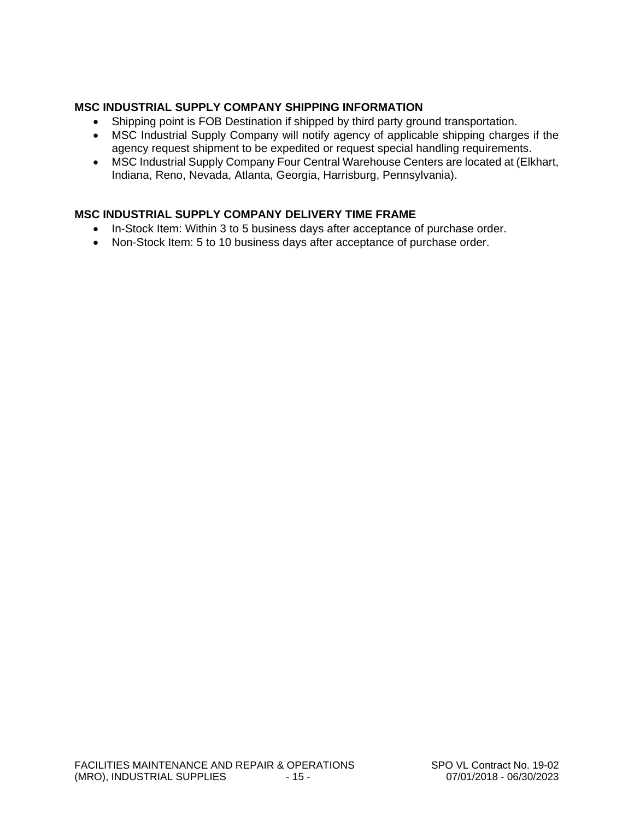#### **MSC INDUSTRIAL SUPPLY COMPANY SHIPPING INFORMATION**

- Shipping point is FOB Destination if shipped by third party ground transportation.
- MSC Industrial Supply Company will notify agency of applicable shipping charges if the agency request shipment to be expedited or request special handling requirements.
- MSC Industrial Supply Company Four Central Warehouse Centers are located at (Elkhart, Indiana, Reno, Nevada, Atlanta, Georgia, Harrisburg, Pennsylvania).

#### **MSC INDUSTRIAL SUPPLY COMPANY DELIVERY TIME FRAME**

- In-Stock Item: Within 3 to 5 business days after acceptance of purchase order.
- Non-Stock Item: 5 to 10 business days after acceptance of purchase order.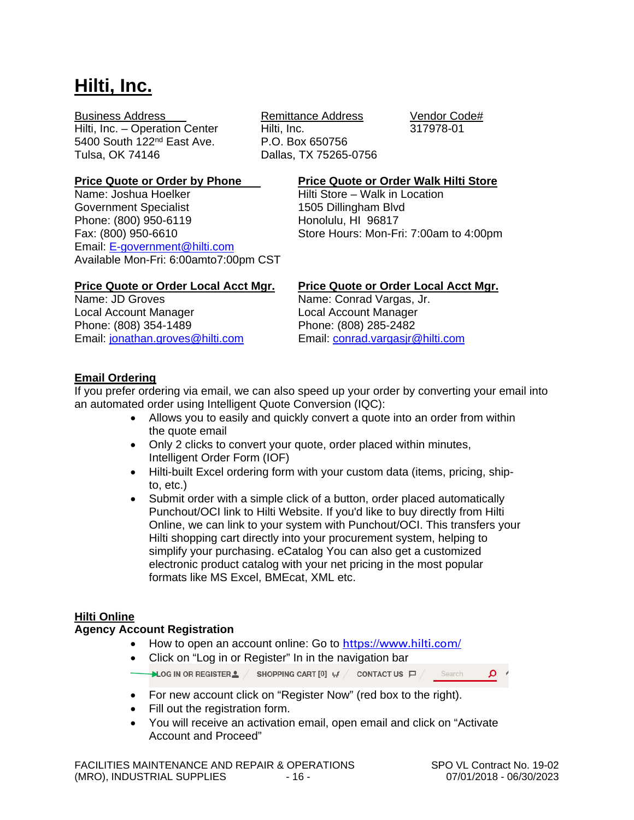## **Hilti, Inc.**

Hilti, Inc. – Operation Center Hilti, Inc. 317978-01 5400 South 122<sup>nd</sup> East Ave. <br>
Tulsa. OK 74146 **Dallas. TX 75265-**

Government Specialist 1505 Dillingham Blvd Phone: (800) 950-6119<br>
Fax: (800) 950-6610 Store Hours: Mon-Fr Email: [E-government@hilti.com](mailto:E-government@hilti.com) Available Mon-Fri: 6:00amto7:00pm CST

Business Address Remittance Address Vendor Code# Dallas, TX 75265-0756

## **Price Quote or Order by Phone**<br> **Price Quote or Order Walk Hilti Store**<br>
Hilti Store – Walk in Location

Hilti Store – Walk in Location Store Hours: Mon-Fri: 7:00am to 4:00pm

Local Account Manager Local Account Manager Phone: (808) 354-1489<br>
Email: jonathan.groves@hilti.com Email: conrad.vargasjr@hilti.com Email: [jonathan.groves@hilti.com](mailto:jonathan.groves@hilti.com)

## **Price Quote or Order Local Acct Mgr.** Price Quote or Order Local Acct Mgr.<br>Name: JD Groves **Contract Acces** Name: Conrad Vargas. Jr.

Name: Conrad Vargas, Jr.

#### **Email Ordering**

If you prefer ordering via email, we can also speed up your order by converting your email into an automated order using Intelligent Quote Conversion (IQC):

- Allows you to easily and quickly convert a quote into an order from within the quote email
- Only 2 clicks to convert your quote, order placed within minutes, Intelligent Order Form (IOF)
- Hilti-built Excel ordering form with your custom data (items, pricing, shipto, etc.)
- Submit order with a simple click of a button, order placed automatically Punchout/OCI link to Hilti Website. If you'd like to buy directly from Hilti Online, we can link to your system with Punchout/OCI. This transfers your Hilti shopping cart directly into your procurement system, helping to simplify your purchasing. eCatalog You can also get a customized electronic product catalog with your net pricing in the most popular formats like MS Excel, BMEcat, XML etc.

#### **Hilti Online**

#### **Agency Account Registration**

- •How to open an account online: Go to <https://www.hilti.com/>
- Click on "Log in or Register" In in the navigation bar

Search ، م

- For new account click on "Register Now" (red box to the right).
- Fill out the registration form.
- You will receive an activation email, open email and click on "Activate Account and Proceed"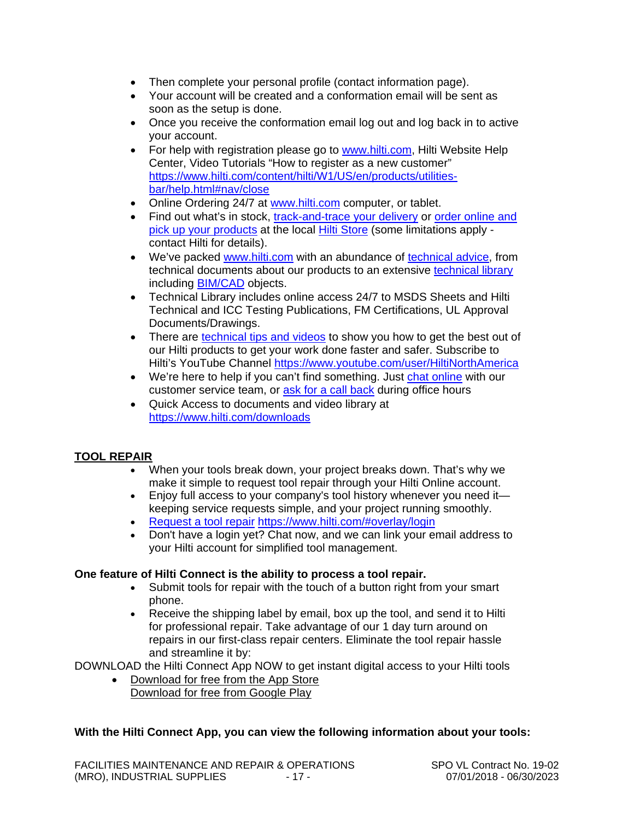- Then complete your personal profile (contact information page).
- Your account will be created and a conformation email will be sent as soon as the setup is done.
- Once you receive the conformation email log out and log back in to active your account.
- For help with registration please go to [www.hilti.com,](http://www.hilti.com/) Hilti Website Help Center, Video Tutorials "How to register as a new customer" [https://www.hilti.com/content/hilti/W1/US/en/products/utilities](http://www.fastenal.com/#nav/close)[bar/help.html#nav/close](http://www.fastenal.com/#nav/close)
- Online Ordering 24/7 at [www.hilti.com](https://www.hilti.com/) computer, or tablet.
- Find out what's in stock, [track-and-trace your delivery](https://www.hilti.com/downloads#account-navigation) or [order online and](mailto:jonathan.groves@hilti.com)  [pick up your products](mailto:jonathan.groves@hilti.com) at the local [Hilti Store](https://www.hilti.com/stores) (some limitations apply contact Hilti for details).
- We've packed [www.hilti.com](https://www.hilti.com/) with an abundance of [technical advice,](http://www.hilti.com/) from technical documents about our products to an extensive [technical library](http://www.fastenal.com/) including [BIM/CAD](https://www.hilti.com/content/hilti/W1/US/en/products/utilities-bar/help.html) objects.
- Technical Library includes online access 24/7 to MSDS Sheets and Hilti Technical and ICC Testing Publications, FM Certifications, UL Approval Documents/Drawings.
- There are [technical tips and videos](https://www.hilti.com/content/hilti/W1/US/en/products/utilities-bar/help.html) to show you how to get the best out of our Hilti products to get your work done faster and safer. Subscribe to Hilti's YouTube Channel [https://www.youtube.com/user/HiltiNorthAmerica](http://www.hilti.com/)
- We're here to help if you can't find something. Just [chat online](https://www.hilti.com/content/hilti/W1/US/en/services/buying-from-hilti/click-and-collect.html#contact) with our customer service team, or [ask for a call back](https://www.hilti.com/register/email#contact) during office hours
- Quick Access to documents and video library at [https://www.hilti.com/downloads](https://www.hilti.com/content/hilti/W1/US/en/engineering/training/engineering---engineering-services.html)

#### **TOOL REPAIR**

- When your tools break down, your project breaks down. That's why we make it simple to request tool repair through your Hilti Online account.
- Enjoy full access to your company's tool history whenever you need it keeping service requests simple, and your project running smoothly.
- [Request a tool repair](https://www.hilti.com/myaccount-tools/repair) [https://www.hilti.com/#overlay/login](https://www.hilti.com/content/hilti/W1/US/en/services/buying-from-hilti/website.html#overlay/login)
- Don't have a login yet? Chat now, and we can link your email address to your Hilti account for simplified tool management.

#### **One feature of Hilti Connect is the ability to process a tool repair.**

- Submit tools for repair with the touch of a button right from your smart phone.
- Receive the shipping label by email, box up the tool, and send it to Hilti for professional repair. Take advantage of our 1 day turn around on repairs in our first-class repair centers. Eliminate the tool repair hassle and streamline it by:

DOWNLOAD the Hilti Connect App NOW to get instant digital access to your Hilti tools

• Download for free from the App Store Download for free from Google Play

#### **With the Hilti Connect App, you can view the following information about your tools:**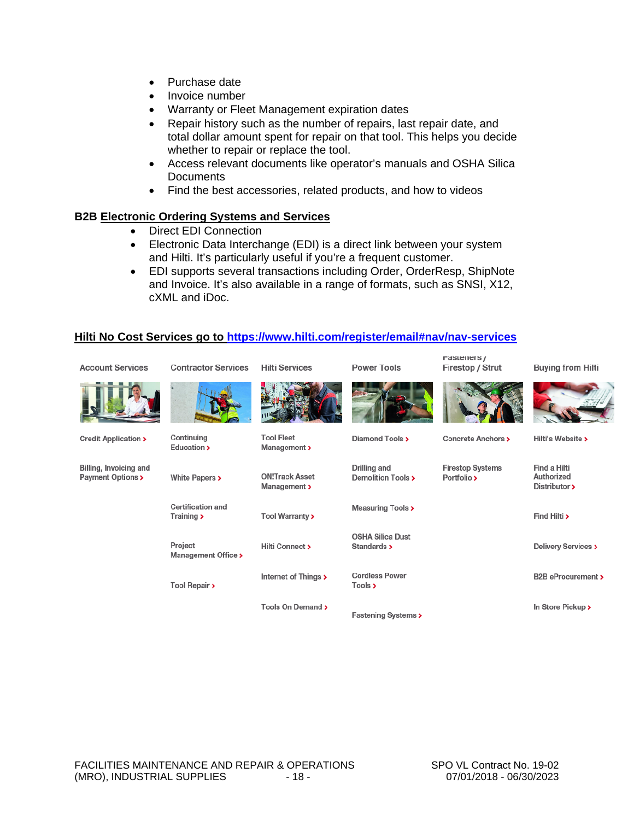- Purchase date
- Invoice number
- Warranty or Fleet Management expiration dates
- Repair history such as the number of repairs, last repair date, and total dollar amount spent for repair on that tool. This helps you decide whether to repair or replace the tool.
- Access relevant documents like operator's manuals and OSHA Silica **Documents**
- Find the best accessories, related products, and how to videos

#### **B2B Electronic Ordering Systems and Services**

- Direct EDI Connection
- Electronic Data Interchange (EDI) is a direct link between your system and Hilti. It's particularly useful if you're a frequent customer.
- EDI supports several transactions including Order, OrderResp, ShipNote and Invoice. It's also available in a range of formats, such as SNSI, X12, cXML and iDoc.

#### **Hilti No Cost Services go to [https://www.hilti.com/register/email#nav/nav-services](mailto:conrad.vargasjr@hilti.com#nav/nav-services)**